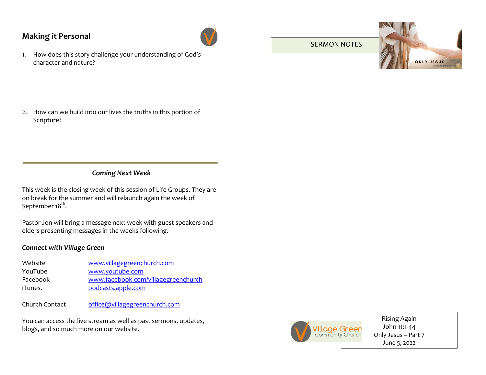## **Making it Personal**



1. How does this story challenge your understanding of God's character and nature?

SERMON NOTES



2. How can we build into our lives the truths in this portion of Scripture?

### *Coming Next Week*

This week is the closing week of this session of Life Groups. They are on break for the summer and will relaunch again the week of September 18<sup>th</sup>.

Pastor Jon will bring a message next week with guest speakers and elders presenting messages in the weeks following.

#### *Connect with Village Green*

| Website  | www.villagegreenchurch.com          |
|----------|-------------------------------------|
| YouTube  | www.youtube.com                     |
| Facebook | www.facebook.com/villagegreenchurch |
| iTunes.  | podcasts.apple.com                  |
|          |                                     |

Church Contact office@villagegreenchurch.com

You can access the live stream as well as past sermons, updates, blogs, and so much more on our website.



Rising Again John 11:1-44 Only Jesus – Part 7 June 5, 2022